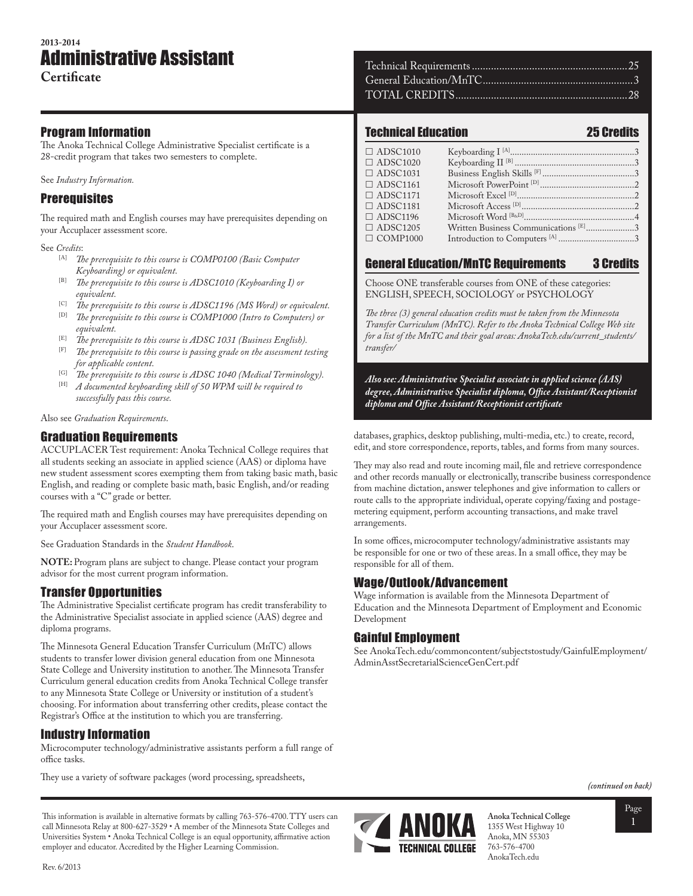# **2013-2014** Administrative Assistant

#### Program Information

The Anoka Technical College Administrative Specialist certificate is a 28-credit program that takes two semesters to complete.

See *Industry Information.*

## **Prerequisites**

The required math and English courses may have prerequisites depending on your Accuplacer assessment score.

See *Credits*:

- [A] *The prerequisite to this course is COMP0100 (Basic Computer Keyboarding) or equivalent.*
- [B] *The prerequisite to this course is ADSC1010 (Keyboarding I) or equivalent.*
- <sup>[C]</sup> *The prerequisite to this course is ADSC1196 (MS Word) or equivalent.*<br><sup>[D]</sup> The prerequisite to this course is COMP1000 (Intro to Computers) or
- The prerequisite to this course is COMP1000 (Intro to Computers) or *equivalent.*
- [E] *The prerequisite to this course is ADSC 1031 (Business English).*
- [F] *The prerequisite to this course is passing grade on the assessment testing for applicable content.*
- <sup>[G]</sup> *The prerequisite to this course is ADSC 1040 (Medical Terminology)*.<br><sup>[H]</sup> *A documented hyphocrding shill of 50 WDM smill ha required to*
- [H] *A documented keyboarding skill of 50 WPM will be required to successfully pass this course.*

Also see *Graduation Requirements*.

## Graduation Requirements

ACCUPLACER Test requirement: Anoka Technical College requires that all students seeking an associate in applied science (AAS) or diploma have new student assessment scores exempting them from taking basic math, basic English, and reading or complete basic math, basic English, and/or reading courses with a "C" grade or better.

The required math and English courses may have prerequisites depending on your Accuplacer assessment score.

See Graduation Standards in the *Student Handbook*.

**NOTE:** Program plans are subject to change. Please contact your program advisor for the most current program information.

## Transfer Opportunities

The Administrative Specialist certificate program has credit transferability to the Administrative Specialist associate in applied science (AAS) degree and diploma programs.

The Minnesota General Education Transfer Curriculum (MnTC) allows students to transfer lower division general education from one Minnesota State College and University institution to another. The Minnesota Transfer Curriculum general education credits from Anoka Technical College transfer to any Minnesota State College or University or institution of a student's choosing. For information about transferring other credits, please contact the Registrar's Office at the institution to which you are transferring.

## Industry Information

Microcomputer technology/administrative assistants perform a full range of office tasks.

They use a variety of software packages (word processing, spreadsheets,

### Technical Education 25 Credits

#### ADSC1010 Keyboarding I [A]......................................................3 ADSC1020 Keyboarding II [B] ....................................................3 ADSC1031 Business English Skills [F] ........................................3 ADSC1161 Microsoft PowerPoint [D] .........................................2 ADSC1171 Microsoft Excel [D]...................................................2 ADSC1181 Microsoft Access [D].................................................2 ADSC1196 Microsoft Word [B&D]................................................4 ADSC1205 Written Business Communications [E].....................3 COMP1000 Introduction to Computers [A] .................................3

## General Education/MnTC Requirements 3 Credits

Choose ONE transferable courses from ONE of these categories: ENGLISH, SPEECH, SOCIOLOGY or PSYCHOLOGY

*The three (3) general education credits must be taken from the Minnesota Transfer Curriculum (MnTC). Refer to the Anoka Technical College Web site for a list of the MnTC and their goal areas: AnokaTech.edu/current\_students/ transfer/* 

*Also see: Administrative Specialist associate in applied science (AAS) degree, Administrative Specialist diploma, Office Assistant/Receptionist diploma and Office Assistant/Receptionist certificate*

databases, graphics, desktop publishing, multi-media, etc.) to create, record, edit, and store correspondence, reports, tables, and forms from many sources.

They may also read and route incoming mail, file and retrieve correspondence and other records manually or electronically, transcribe business correspondence from machine dictation, answer telephones and give information to callers or route calls to the appropriate individual, operate copying/faxing and postagemetering equipment, perform accounting transactions, and make travel arrangements.

In some offices, microcomputer technology/administrative assistants may be responsible for one or two of these areas. In a small office, they may be responsible for all of them.

## Wage/Outlook/Advancement

Wage information is available from the Minnesota Department of Education and the Minnesota Department of Employment and Economic Development

### Gainful Employment

See AnokaTech.edu/commoncontent/subjectstostudy/GainfulEmployment/ AdminAsstSecretarialScienceGenCert.pdf

*(continued on back)*



**Anoka Technical College** 1355 West Highway 10 Anoka, MN 55303 763-576-4700 AnokaTech.edu



This information is available in alternative formats by calling 763-576-4700. TTY users can call Minnesota Relay at 800-627-3529 • A member of the Minnesota State Colleges and Universities System • Anoka Technical College is an equal opportunity, affirmative action employer and educator. Accredited by the Higher Learning Commission.